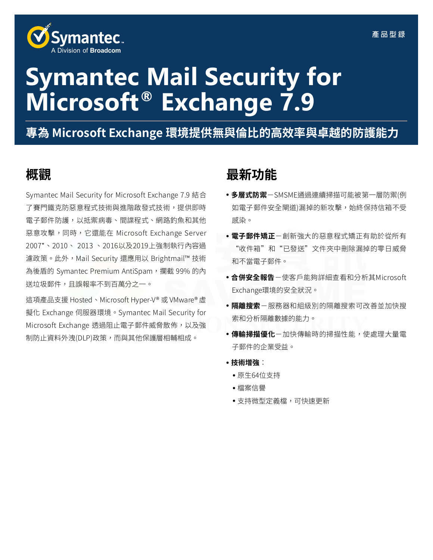

# **Symantec Mail Security for Microsoft® Exchange 7.9**

**專為 Microsoft Exchange 環境提供無與倫比的高效率與卓越的防護能力**

Symantec Mail Security for Microsoft Exchange 7.9 結合 了賽門鐵克防惡意程式技術與進階啟發式技術,提供即時 電子郵件防護,以抵禦病毒、間諜程式、網路釣魚和其他 惡意攻擊,同時,它還能在 Microsoft Exchange Server 2007\*、2010、 2013 、2016以及2019上強制執行內容過 濾政策。此外,Mail Security 還應用以 Brightmail™ 技術 為後盾的 Symantec Premium AntiSpam,攔截 99% 的內 送垃圾郵件,且誤報率不到百萬分之一。

這項產品支援 Hosted、Microsoft Hyper-V® 或 VMware® 虛 擬化 Exchange 伺服器環境。Symantec Mail Security for Microsoft Exchange 透過阻止電子郵件威脅散佈,以及強 制防止資料外洩(DLP)政策,而與其他保護層相輔相成。

# **概觀 最新功能**

- **多層式防禦**-SMSME通過連續掃描可能被第一層防禦(例 如電子郵件安全閘道)漏掉的新攻擊,始終保持信箱不受 感染。
- **電子郵件矯正**-創新強大的惡意程式矯正有助於從所有 "收件箱"和"已發送"文件夾中刪除漏掉的零日威脅 和不當電子郵件。
- **合併安全報告**-使客戶能夠詳細查看和分析其Microsoft Exchange環境的安全狀況。
- **隔離搜索**-服務器和組級別的隔離搜索可改善並加快搜 索和分析隔離數據的能力。
- **傳輸掃描優化**-加快傳輸時的掃描性能,使處理大量電 子郵件的企業受益。
- **技術增強**:
	- 原生64位支持
	- 檔案信譽
	- 支持微型定義檔,可快速更新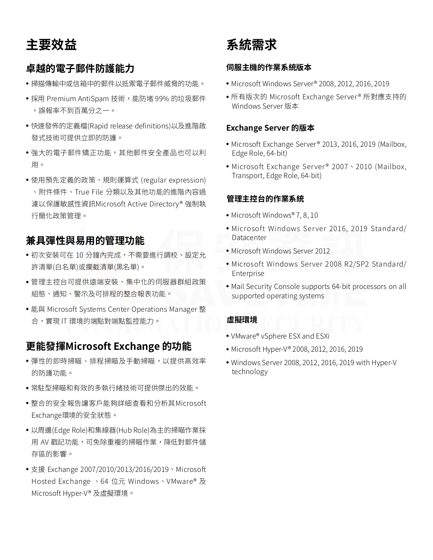**主要效益**

# **卓越的電子郵件防護能力**

- 掃描傳輸中或信箱中的郵件以抵禦電子郵件威脅的功能。
- 採用 Premium AntiSpam 技術,能防堵 99% 的垃圾郵件 ,誤報率不到百萬分之一。
- 快速發佈的定義檔(Rapid release definitions)以及進階啟 發式技術可提供立即的防護。
- 強大的雷子郵件矯正功能, 其他郵件安全產品也可以利 用。
- 使用預先定義的政策、規則運算式 (regular expression) 、附件條件、True File 分類以及其他功能的進階內容過 濾以保護敏感性資訊Microsoft Active Directory® 強制執 行簡化政策管理。

# **兼具彈性與易用的管理功能**

- •初次安裝可在 10 分鐘內完成,不需要進行調校、設定允 許清單(白名單)或攔截清單(黑名單)。
- 管理主控台可提供遠端安裝、集中化的伺服器群組政策 組態、通知、警示及可排程的整合報表功能。
- 能與 Microsoft Systems Center Operations Manager 整 合,實現 IT 環境的端點對端點監控能力。

# **更能發揮Microsoft Exchange 的功能**

- 彈性的即時掃瞄、排程掃瞄及手動掃瞄,以提供高效率 的防護功能。
- 常駐型掃瞄和有效的多執行緒技術可提供傑出的效能。
- 整合的安全報告讓客戶能夠詳細查看和分析其Microsoft Exchange環境的安全狀態。
- 以周邊(Edge Role)和集線器(Hub Role)為主的掃瞄作業採 用 AV 戳記功能,可免除重複的掃瞄作業,降低對郵件儲 存區的影響。
- 支援 Exchange 2007/2010/2013/2016/2019、Microsoft Hosted Exchange 、64 位元 Windows、VMware® 及 Microsoft Hyper-V® 及虛擬環境。

**系統需求**

#### **伺服主機的作業系統版本**

- Microsoft Windows Server® 2008, 2012, 2016, 2019
- 所有版次的 Microsoft Exchange Server® 所對應支持的 Windows Server 版本

#### **Exchange Server 的版本**

- Microsoft Exchange Server® 2013, 2016, 2019 (Mailbox, Edge Role, 64-bit)
- Microsoft Exchange Server<sup>®</sup> 2007 \ 2010 (Mailbox, Transport, Edge Role, 64-bit)

#### **管理主控台的作業系統**

- Microsoft Windows® 7, 8, 10
- Microsoft Windows Server 2016, 2019 Standard/ Datacenter
- Microsoft Windows Server 2012
- Microsoft Windows Server 2008 R2/SP2 Standard/ Enterprise
- Mail Security Console supports 64-bit processors on all supported operating systems

#### **虛擬環境**

- VMware® vSphere ESX and ESXi
- Microsoft Hyper-V® 2008, 2012, 2016, 2019
- Windows Server 2008, 2012, 2016, 2019 with Hyper-V technology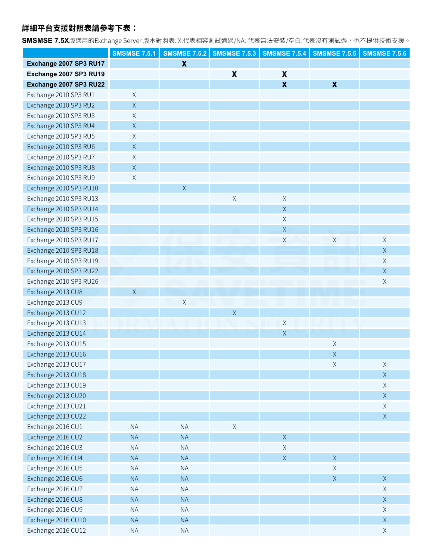### **詳細平台支援對照表請參考下表:**

**SMSMSE 7.5X**版適用的Exchange Server 版本對照表: X:代表相容測試通過/NA: 代表無法安裝/空白:代表沒有測試過,也不提供技術支援。

|                        | <b>SMSMSE 7.5.1</b> |                           | <b>SMSMSE 7.5.2 SMSMSE 7.5.3</b> | <b>SMSMSE 7.5.4</b>       | <b>SMSMSE 7.5.5</b>       | <b>SMSMSE 7.5.6</b> |
|------------------------|---------------------|---------------------------|----------------------------------|---------------------------|---------------------------|---------------------|
| Exchange 2007 SP3 RU17 |                     | $\boldsymbol{\mathsf{X}}$ |                                  |                           |                           |                     |
| Exchange 2007 SP3 RU19 |                     |                           | $\pmb{\chi}$                     | $\boldsymbol{\mathsf{X}}$ |                           |                     |
| Exchange 2007 SP3 RU22 |                     |                           |                                  | $\boldsymbol{\mathsf{X}}$ | $\boldsymbol{\mathsf{X}}$ |                     |
| Exchange 2010 SP3 RU1  | $\mathsf X$         |                           |                                  |                           |                           |                     |
| Exchange 2010 SP3 RU2  | $\mathsf X$         |                           |                                  |                           |                           |                     |
| Exchange 2010 SP3 RU3  | $\mathsf X$         |                           |                                  |                           |                           |                     |
| Exchange 2010 SP3 RU4  | $\mathsf X$         |                           |                                  |                           |                           |                     |
| Exchange 2010 SP3 RU5  | $\mathsf X$         |                           |                                  |                           |                           |                     |
| Exchange 2010 SP3 RU6  | $\mathsf X$         |                           |                                  |                           |                           |                     |
| Exchange 2010 SP3 RU7  | $\mathsf X$         |                           |                                  |                           |                           |                     |
| Exchange 2010 SP3 RU8  | $\mathsf X$         |                           |                                  |                           |                           |                     |
| Exchange 2010 SP3 RU9  | $\mathsf X$         |                           |                                  |                           |                           |                     |
| Exchange 2010 SP3 RU10 |                     | $\mathsf X$               |                                  |                           |                           |                     |
| Exchange 2010 SP3 RU13 |                     |                           | $\mathsf X$                      | $\mathsf X$               |                           |                     |
| Exchange 2010 SP3 RU14 |                     |                           |                                  | $\mathsf X$               |                           |                     |
| Exchange 2010 SP3 RU15 |                     |                           |                                  | $\mathsf X$               |                           |                     |
| Exchange 2010 SP3 RU16 |                     |                           |                                  | $\mathsf X$               |                           |                     |
| Exchange 2010 SP3 RU17 |                     |                           |                                  | $\mathsf X$               | $\mathsf X$               | $\mathsf X$         |
| Exchange 2010 SP3 RU18 |                     |                           |                                  |                           |                           | $\mathsf X$         |
| Exchange 2010 SP3 RU19 |                     |                           |                                  |                           |                           | $\mathsf X$         |
| Exchange 2010 SP3 RU22 |                     |                           |                                  |                           |                           | $\mathsf X$         |
| Exchange 2010 SP3 RU26 |                     |                           |                                  |                           |                           | Χ                   |
| Exchange 2013 CU8      | $\mathsf X$         |                           |                                  |                           |                           |                     |
| Exchange 2013 CU9      |                     | $\mathsf X$               |                                  |                           |                           |                     |
| Exchange 2013 CU12     |                     |                           | $\mathsf X$                      |                           |                           |                     |
| Exchange 2013 CU13     |                     |                           |                                  | $\chi$                    |                           |                     |
| Exchange 2013 CU14     |                     |                           |                                  | $\mathsf X$               |                           |                     |
| Exchange 2013 CU15     |                     |                           |                                  |                           | Χ                         |                     |
| Exchange 2013 CU16     |                     |                           |                                  |                           | $\mathsf X$               |                     |
| Exchange 2013 CU17     |                     |                           |                                  |                           | X                         |                     |
| Exchange 2013 CU18     |                     |                           |                                  |                           |                           | $\mathsf X$         |
| Exchange 2013 CU19     |                     |                           |                                  |                           |                           | $\mathsf X$         |
| Exchange 2013 CU20     |                     |                           |                                  |                           |                           | $\mathsf X$         |
| Exchange 2013 CU21     |                     |                           |                                  |                           |                           | $\times$            |
| Exchange 2013 CU22     |                     |                           |                                  |                           |                           | X                   |
| Exchange 2016 CU1      | <b>NA</b>           | <b>NA</b>                 | $\mathsf X$                      |                           |                           |                     |
| Exchange 2016 CU2      | <b>NA</b>           | <b>NA</b>                 |                                  | $\mathsf X$               |                           |                     |
| Exchange 2016 CU3      | <b>NA</b>           | <b>NA</b>                 |                                  | $\mathsf X$               |                           |                     |
| Exchange 2016 CU4      | <b>NA</b>           | <b>NA</b>                 |                                  | $\mathsf X$               | $\mathsf X$               |                     |
| Exchange 2016 CU5      | <b>NA</b>           | <b>NA</b>                 |                                  |                           | $\mathsf X$               |                     |
| Exchange 2016 CU6      | <b>NA</b>           | <b>NA</b>                 |                                  |                           | $\mathsf X$               | $\mathsf X$         |
| Exchange 2016 CU7      | <b>NA</b>           | <b>NA</b>                 |                                  |                           |                           | $\mathsf X$         |
| Exchange 2016 CU8      | <b>NA</b>           | <b>NA</b>                 |                                  |                           |                           | $\mathsf X$         |
| Exchange 2016 CU9      | <b>NA</b>           | <b>NA</b>                 |                                  |                           |                           | $\mathsf X$         |
| Exchange 2016 CU10     | <b>NA</b>           | <b>NA</b>                 |                                  |                           |                           | $\mathsf X$         |
| Exchange 2016 CU12     | <b>NA</b>           | <b>NA</b>                 |                                  |                           |                           | $\mathsf X$         |